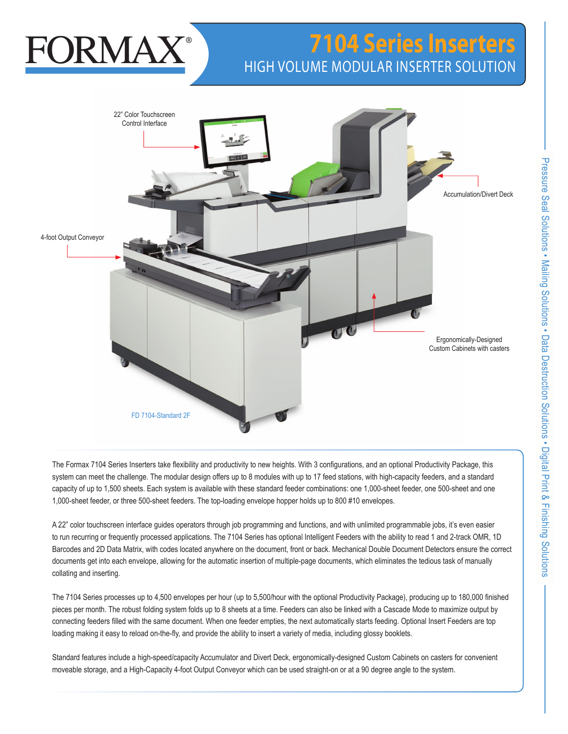# **FORMAZ**

# **7104 Series Inserters** HIGH VOLUME MODULAR INSERTER SOLUTION



The Formax 7104 Series Inserters take flexibility and productivity to new heights. With 3 configurations, and an optional Productivity Package, this system can meet the challenge. The modular design offers up to 8 modules with up to 17 feed stations, with high-capacity feeders, and a standard capacity of up to 1,500 sheets. Each system is available with these standard feeder combinations: one 1,000-sheet feeder, one 500-sheet and one 1,000-sheet feeder, or three 500-sheet feeders. The top-loading envelope hopper holds up to 800 #10 envelopes.

A 22" color touchscreen interface guides operators through job programming and functions, and with unlimited programmable jobs, it's even easier to run recurring or frequently processed applications. The 7104 Series has optional Intelligent Feeders with the ability to read 1 and 2-track OMR, 1D Barcodes and 2D Data Matrix, with codes located anywhere on the document, front or back. Mechanical Double Document Detectors ensure the correct documents get into each envelope, allowing for the automatic insertion of multiple-page documents, which eliminates the tedious task of manually collating and inserting.

The 7104 Series processes up to 4,500 envelopes per hour (up to 5,500/hour with the optional Productivity Package), producing up to 180,000 finished pieces per month. The robust folding system folds up to 8 sheets at a time. Feeders can also be linked with a Cascade Mode to maximize output by connecting feeders filled with the same document. When one feeder empties, the next automatically starts feeding. Optional Insert Feeders are top loading making it easy to reload on-the-fly, and provide the ability to insert a variety of media, including glossy booklets.

Standard features include a high-speed/capacity Accumulator and Divert Deck, ergonomically-designed Custom Cabinets on casters for convenient moveable storage, and a High-Capacity 4-foot Output Conveyor which can be used straight-on or at a 90 degree angle to the system.